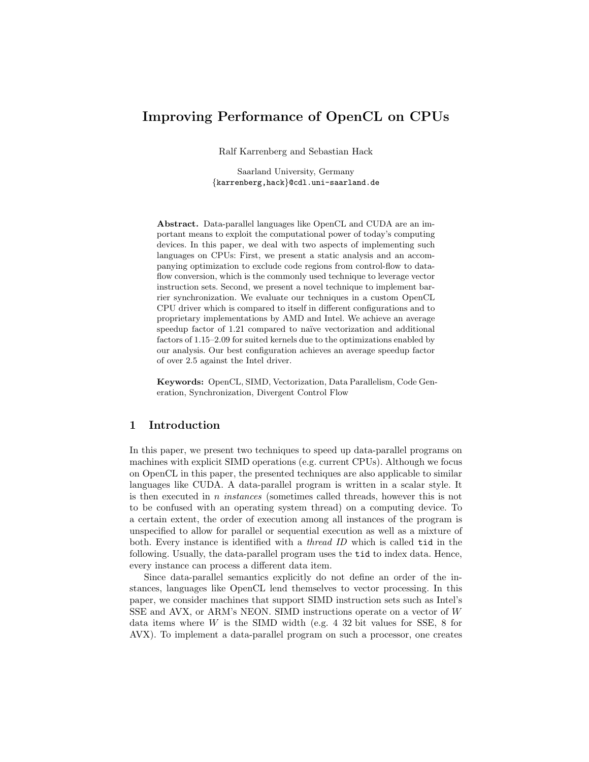# Improving Performance of OpenCL on CPUs

Ralf Karrenberg and Sebastian Hack

Saarland University, Germany {karrenberg,hack}@cdl.uni-saarland.de

Abstract. Data-parallel languages like OpenCL and CUDA are an important means to exploit the computational power of today's computing devices. In this paper, we deal with two aspects of implementing such languages on CPUs: First, we present a static analysis and an accompanying optimization to exclude code regions from control-flow to dataflow conversion, which is the commonly used technique to leverage vector instruction sets. Second, we present a novel technique to implement barrier synchronization. We evaluate our techniques in a custom OpenCL CPU driver which is compared to itself in different configurations and to proprietary implementations by AMD and Intel. We achieve an average speedup factor of 1.21 compared to naïve vectorization and additional factors of 1.15–2.09 for suited kernels due to the optimizations enabled by our analysis. Our best configuration achieves an average speedup factor of over 2.5 against the Intel driver.

Keywords: OpenCL, SIMD, Vectorization, Data Parallelism, Code Generation, Synchronization, Divergent Control Flow

# 1 Introduction

In this paper, we present two techniques to speed up data-parallel programs on machines with explicit SIMD operations (e.g. current CPUs). Although we focus on OpenCL in this paper, the presented techniques are also applicable to similar languages like CUDA. A data-parallel program is written in a scalar style. It is then executed in n instances (sometimes called threads, however this is not to be confused with an operating system thread) on a computing device. To a certain extent, the order of execution among all instances of the program is unspecified to allow for parallel or sequential execution as well as a mixture of both. Every instance is identified with a thread ID which is called tid in the following. Usually, the data-parallel program uses the tid to index data. Hence, every instance can process a different data item.

Since data-parallel semantics explicitly do not define an order of the instances, languages like OpenCL lend themselves to vector processing. In this paper, we consider machines that support SIMD instruction sets such as Intel's SSE and AVX, or ARM's NEON. SIMD instructions operate on a vector of W data items where  $W$  is the SIMD width (e.g. 4 32 bit values for SSE, 8 for AVX). To implement a data-parallel program on such a processor, one creates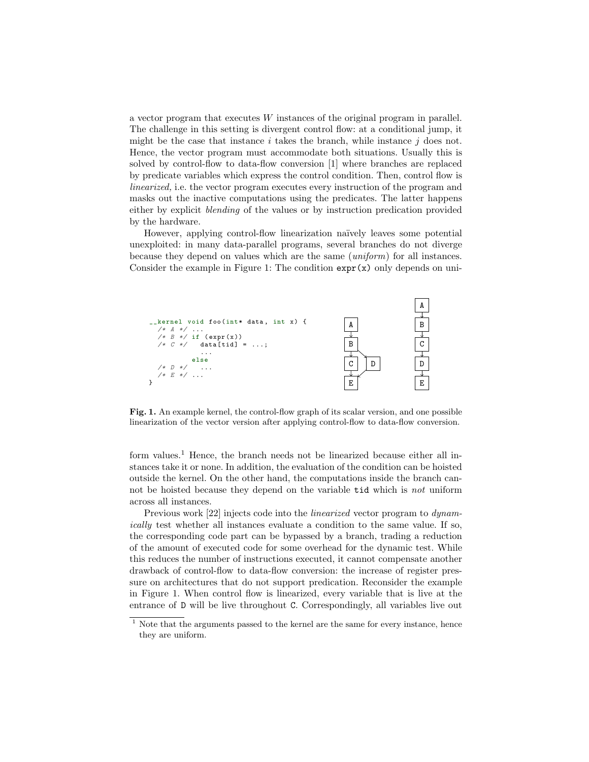a vector program that executes W instances of the original program in parallel. The challenge in this setting is divergent control flow: at a conditional jump, it might be the case that instance i takes the branch, while instance j does not. Hence, the vector program must accommodate both situations. Usually this is solved by control-flow to data-flow conversion [1] where branches are replaced by predicate variables which express the control condition. Then, control flow is linearized, i.e. the vector program executes every instruction of the program and masks out the inactive computations using the predicates. The latter happens either by explicit blending of the values or by instruction predication provided by the hardware.

However, applying control-flow linearization naïvely leaves some potential unexploited: in many data-parallel programs, several branches do not diverge because they depend on values which are the same (uniform) for all instances. Consider the example in Figure 1: The condition  $exp(x)$  only depends on uni-



Fig. 1. An example kernel, the control-flow graph of its scalar version, and one possible linearization of the vector version after applying control-flow to data-flow conversion.

form values.<sup>1</sup> Hence, the branch needs not be linearized because either all instances take it or none. In addition, the evaluation of the condition can be hoisted outside the kernel. On the other hand, the computations inside the branch cannot be hoisted because they depend on the variable tid which is not uniform across all instances.

Previous work [22] injects code into the *linearized* vector program to *dynam*ically test whether all instances evaluate a condition to the same value. If so, the corresponding code part can be bypassed by a branch, trading a reduction of the amount of executed code for some overhead for the dynamic test. While this reduces the number of instructions executed, it cannot compensate another drawback of control-flow to data-flow conversion: the increase of register pressure on architectures that do not support predication. Reconsider the example in Figure 1. When control flow is linearized, every variable that is live at the entrance of D will be live throughout C. Correspondingly, all variables live out

 $1$  Note that the arguments passed to the kernel are the same for every instance, hence they are uniform.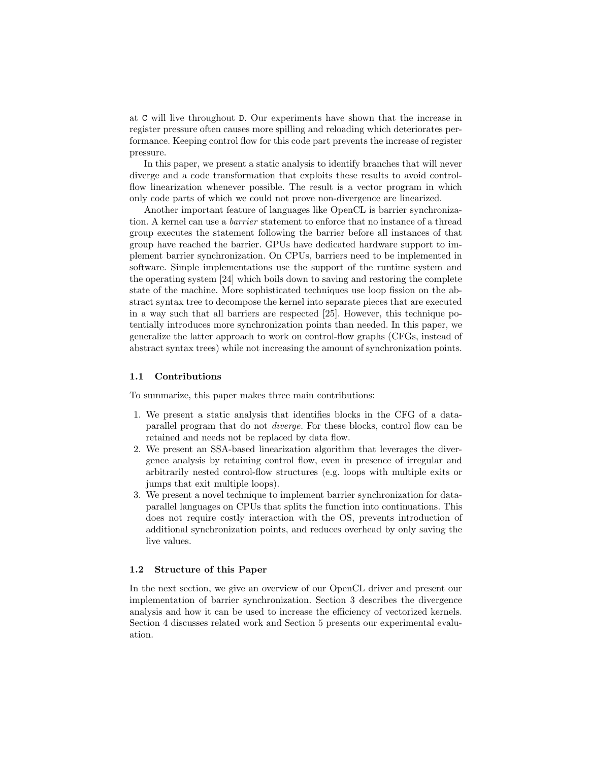at C will live throughout D. Our experiments have shown that the increase in register pressure often causes more spilling and reloading which deteriorates performance. Keeping control flow for this code part prevents the increase of register pressure.

In this paper, we present a static analysis to identify branches that will never diverge and a code transformation that exploits these results to avoid controlflow linearization whenever possible. The result is a vector program in which only code parts of which we could not prove non-divergence are linearized.

Another important feature of languages like OpenCL is barrier synchronization. A kernel can use a barrier statement to enforce that no instance of a thread group executes the statement following the barrier before all instances of that group have reached the barrier. GPUs have dedicated hardware support to implement barrier synchronization. On CPUs, barriers need to be implemented in software. Simple implementations use the support of the runtime system and the operating system [24] which boils down to saving and restoring the complete state of the machine. More sophisticated techniques use loop fission on the abstract syntax tree to decompose the kernel into separate pieces that are executed in a way such that all barriers are respected [25]. However, this technique potentially introduces more synchronization points than needed. In this paper, we generalize the latter approach to work on control-flow graphs (CFGs, instead of abstract syntax trees) while not increasing the amount of synchronization points.

### 1.1 Contributions

To summarize, this paper makes three main contributions:

- 1. We present a static analysis that identifies blocks in the CFG of a dataparallel program that do not diverge. For these blocks, control flow can be retained and needs not be replaced by data flow.
- 2. We present an SSA-based linearization algorithm that leverages the divergence analysis by retaining control flow, even in presence of irregular and arbitrarily nested control-flow structures (e.g. loops with multiple exits or jumps that exit multiple loops).
- 3. We present a novel technique to implement barrier synchronization for dataparallel languages on CPUs that splits the function into continuations. This does not require costly interaction with the OS, prevents introduction of additional synchronization points, and reduces overhead by only saving the live values.

#### 1.2 Structure of this Paper

In the next section, we give an overview of our OpenCL driver and present our implementation of barrier synchronization. Section 3 describes the divergence analysis and how it can be used to increase the efficiency of vectorized kernels. Section 4 discusses related work and Section 5 presents our experimental evaluation.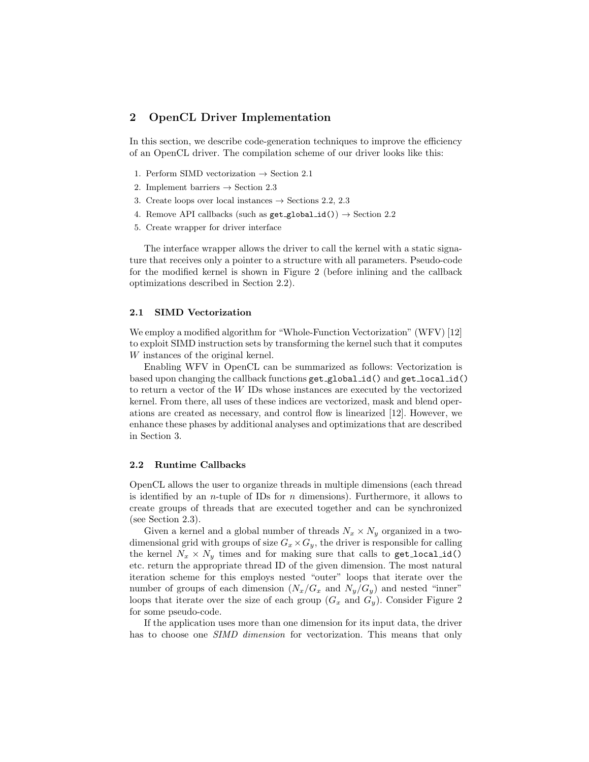## 2 OpenCL Driver Implementation

In this section, we describe code-generation techniques to improve the efficiency of an OpenCL driver. The compilation scheme of our driver looks like this:

- 1. Perform SIMD vectorization  $\rightarrow$  Section 2.1
- 2. Implement barriers  $\rightarrow$  Section 2.3
- 3. Create loops over local instances  $\rightarrow$  Sections 2.2, 2.3
- 4. Remove API callbacks (such as  $get\_global_id()$ )  $\rightarrow$  Section 2.2
- 5. Create wrapper for driver interface

The interface wrapper allows the driver to call the kernel with a static signature that receives only a pointer to a structure with all parameters. Pseudo-code for the modified kernel is shown in Figure 2 (before inlining and the callback optimizations described in Section 2.2).

#### 2.1 SIMD Vectorization

We employ a modified algorithm for "Whole-Function Vectorization" (WFV) [12] to exploit SIMD instruction sets by transforming the kernel such that it computes W instances of the original kernel.

Enabling WFV in OpenCL can be summarized as follows: Vectorization is based upon changing the callback functions get global id() and get local id() to return a vector of the W IDs whose instances are executed by the vectorized kernel. From there, all uses of these indices are vectorized, mask and blend operations are created as necessary, and control flow is linearized [12]. However, we enhance these phases by additional analyses and optimizations that are described in Section 3.

#### 2.2 Runtime Callbacks

OpenCL allows the user to organize threads in multiple dimensions (each thread is identified by an *n*-tuple of IDs for *n* dimensions). Furthermore, it allows to create groups of threads that are executed together and can be synchronized (see Section 2.3).

Given a kernel and a global number of threads  $N_x \times N_y$  organized in a twodimensional grid with groups of size  $G_x \times G_y$ , the driver is responsible for calling the kernel  $N_x \times N_y$  times and for making sure that calls to get\_local\_id() etc. return the appropriate thread ID of the given dimension. The most natural iteration scheme for this employs nested "outer" loops that iterate over the number of groups of each dimension  $(N_x/G_x)$  and  $N_y/G_y$  and nested "inner" loops that iterate over the size of each group  $(G_x \text{ and } G_y)$ . Consider Figure 2 for some pseudo-code.

If the application uses more than one dimension for its input data, the driver has to choose one *SIMD* dimension for vectorization. This means that only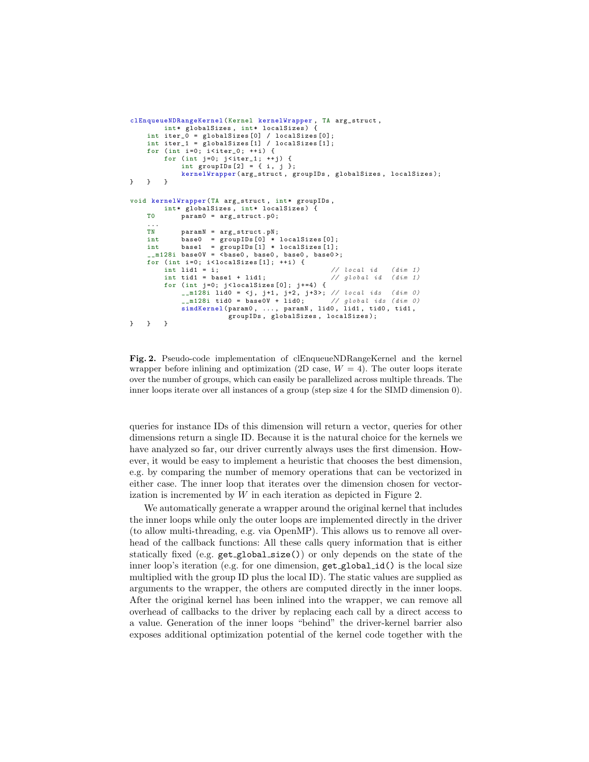```
clEnqueueNDRangeKernel ( Kernel kernelWrapper , TA arg_struct ,
     int * globalSizes , int * localSizes ) {
int iter_0 = globalSizes [0] / localSizes [0];
     int iter_1 = globalSizes [1] / localSizes [1];
     for (int i=0; i<iter 0: ++i) {
          for (int j=0; j<iter_1; ++j) {
                int groupIDs [2] = \{ i, j \};
                kernelWrapper ( arg_struct , groupIDs , globalSizes , localSizes );
} } }
void kernelWrapper (TA arg_struct, int* groupIDs,
          int* globalSizes, int* localSizes) {
     T0 param0 = arg\_struct.p0;\frac{1}{T N}.
                param = arg_structure.int base0 = groupIDs [0] * localSizes [0];
int base1 = groupIDs [1] * localSizes [1];
     __m128i base0V = < base0 , base0 , base0 , base0 >;
for (int i =0; i < localSizes [1]; ++ i) {
          int lid1 = i; <br>int tid1 = base1 + lid1; <br>// global id (dim 1)<br>
          int tid1 = base1 + lid1; \frac{1}{4} \frac{1}{4} \frac{1}{4} \frac{1}{4} \frac{1}{4} \frac{1}{4} \frac{1}{4} \frac{1}{4}for (int j=0; j < local Sizes [0]; j+=4) {
                _{--}m128i lid0 = <j, j+1, j+2, j+3>; // local ids (dim 0)
                __m128i tid0 = base0V + lid0 ; // global ids ( dim 0)
simdKernel ( param0 , ... , paramN , lid0 , lid1 , tid0 , tid1 ,
                               groupIDs , globalSizes , localSizes );
} } }
```
Fig. 2. Pseudo-code implementation of clEnqueueNDRangeKernel and the kernel wrapper before inlining and optimization (2D case,  $W = 4$ ). The outer loops iterate over the number of groups, which can easily be parallelized across multiple threads. The inner loops iterate over all instances of a group (step size 4 for the SIMD dimension 0).

queries for instance IDs of this dimension will return a vector, queries for other dimensions return a single ID. Because it is the natural choice for the kernels we have analyzed so far, our driver currently always uses the first dimension. However, it would be easy to implement a heuristic that chooses the best dimension, e.g. by comparing the number of memory operations that can be vectorized in either case. The inner loop that iterates over the dimension chosen for vectorization is incremented by  $W$  in each iteration as depicted in Figure 2.

We automatically generate a wrapper around the original kernel that includes the inner loops while only the outer loops are implemented directly in the driver (to allow multi-threading, e.g. via OpenMP). This allows us to remove all overhead of the callback functions: All these calls query information that is either statically fixed (e.g. get\_global\_size()) or only depends on the state of the inner loop's iteration (e.g. for one dimension,  $get\_global_id()$  is the local size multiplied with the group ID plus the local ID). The static values are supplied as arguments to the wrapper, the others are computed directly in the inner loops. After the original kernel has been inlined into the wrapper, we can remove all overhead of callbacks to the driver by replacing each call by a direct access to a value. Generation of the inner loops "behind" the driver-kernel barrier also exposes additional optimization potential of the kernel code together with the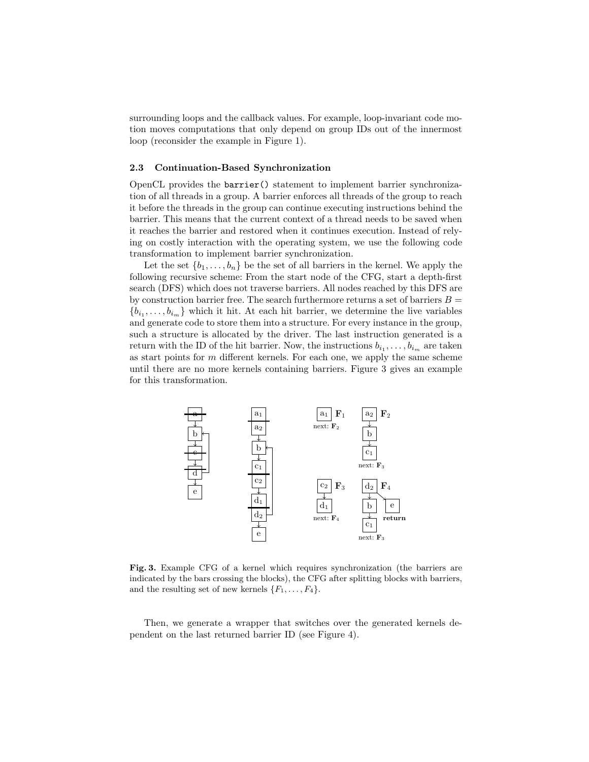surrounding loops and the callback values. For example, loop-invariant code motion moves computations that only depend on group IDs out of the innermost loop (reconsider the example in Figure 1).

#### 2.3 Continuation-Based Synchronization

OpenCL provides the barrier() statement to implement barrier synchronization of all threads in a group. A barrier enforces all threads of the group to reach it before the threads in the group can continue executing instructions behind the barrier. This means that the current context of a thread needs to be saved when it reaches the barrier and restored when it continues execution. Instead of relying on costly interaction with the operating system, we use the following code transformation to implement barrier synchronization.

Let the set  $\{b_1, \ldots, b_n\}$  be the set of all barriers in the kernel. We apply the following recursive scheme: From the start node of the CFG, start a depth-first search (DFS) which does not traverse barriers. All nodes reached by this DFS are by construction barrier free. The search furthermore returns a set of barriers  $B =$  ${b_{i_1}, \ldots, b_{i_m}}$  which it hit. At each hit barrier, we determine the live variables and generate code to store them into a structure. For every instance in the group, such a structure is allocated by the driver. The last instruction generated is a return with the ID of the hit barrier. Now, the instructions  $b_{i_1}, \ldots, b_{i_m}$  are taken as start points for  $m$  different kernels. For each one, we apply the same scheme until there are no more kernels containing barriers. Figure 3 gives an example for this transformation.



Fig. 3. Example CFG of a kernel which requires synchronization (the barriers are indicated by the bars crossing the blocks), the CFG after splitting blocks with barriers, and the resulting set of new kernels  $\{F_1, \ldots, F_4\}.$ 

Then, we generate a wrapper that switches over the generated kernels dependent on the last returned barrier ID (see Figure 4).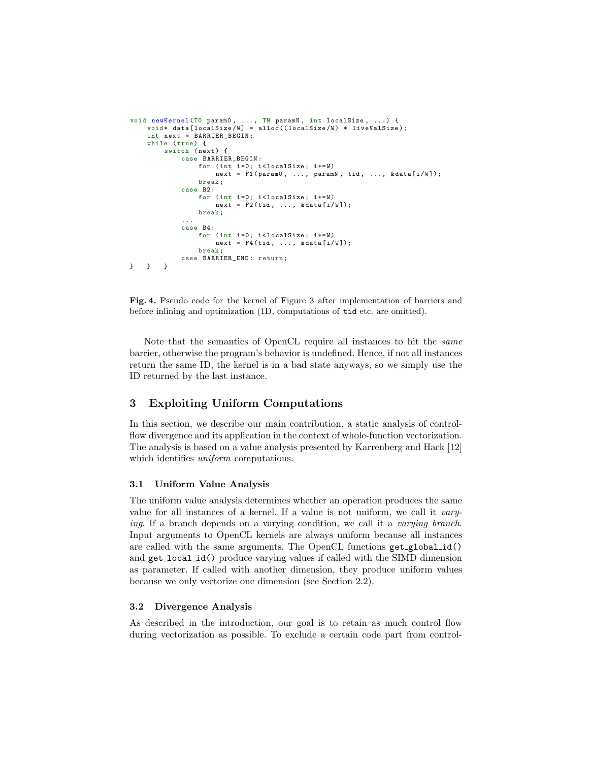```
void newKernel(TO paramO, ..., TN paramN, int localSize, ...) {<br>void* data[localSize/W] = alloc((localSize/W) * liveValSize);
    int next = BARRIER BEGIN ;
    while (true) {
         switch (next) {
              case BARRIER_BEGIN :
                   for (int i=0; i<localSize; i+=W)
                       next = F1(param0, ..., paramN, tid, ..., kdata[i/W]);break ;
              case R2 :
                  for (int i=0; i <localSize; i += W)
                       next = F2(tid, ..., kdata[i/W]);break ;
              ...
              case B4 :
                  for (int i=0; i <localSize; i += W)
                       next = F4(tid, ..., kdata[i/W]);break ;
              case BARRIER_END: return;
} } }
```
Fig. 4. Pseudo code for the kernel of Figure 3 after implementation of barriers and before inlining and optimization (1D, computations of tid etc. are omitted).

Note that the semantics of OpenCL require all instances to hit the same barrier, otherwise the program's behavior is undefined. Hence, if not all instances return the same ID, the kernel is in a bad state anyways, so we simply use the ID returned by the last instance.

# 3 Exploiting Uniform Computations

In this section, we describe our main contribution, a static analysis of controlflow divergence and its application in the context of whole-function vectorization. The analysis is based on a value analysis presented by Karrenberg and Hack [12] which identifies *uniform* computations.

#### 3.1 Uniform Value Analysis

The uniform value analysis determines whether an operation produces the same value for all instances of a kernel. If a value is not uniform, we call it varying. If a branch depends on a varying condition, we call it a varying branch. Input arguments to OpenCL kernels are always uniform because all instances are called with the same arguments. The OpenCL functions get global id() and get local id() produce varying values if called with the SIMD dimension as parameter. If called with another dimension, they produce uniform values because we only vectorize one dimension (see Section 2.2).

#### 3.2 Divergence Analysis

As described in the introduction, our goal is to retain as much control flow during vectorization as possible. To exclude a certain code part from control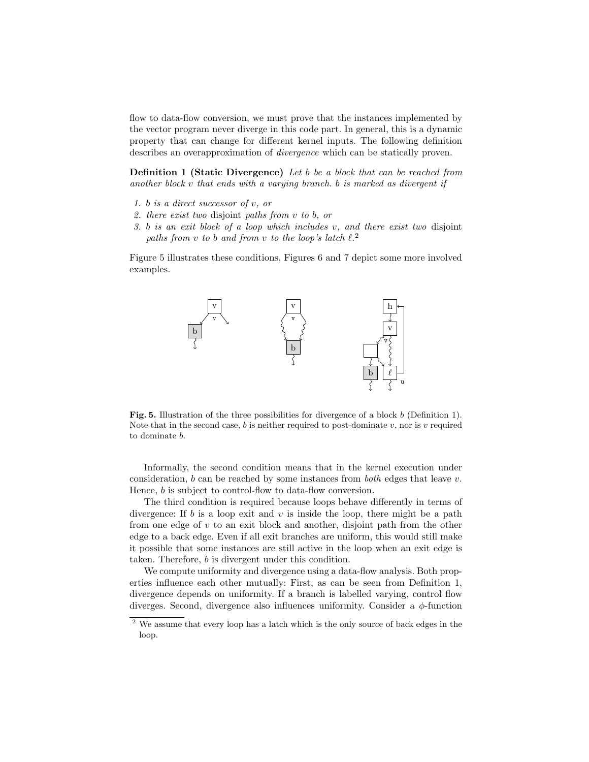flow to data-flow conversion, we must prove that the instances implemented by the vector program never diverge in this code part. In general, this is a dynamic property that can change for different kernel inputs. The following definition describes an overapproximation of divergence which can be statically proven.

Definition 1 (Static Divergence) Let b be a block that can be reached from another block v that ends with a varying branch. b is marked as divergent if

- 1. b is a direct successor of v, or
- 2. there exist two disjoint paths from v to b, or
- 3. b is an exit block of a loop which includes v, and there exist two disjoint paths from v to b and from v to the loop's latch  $\ell$ .

Figure 5 illustrates these conditions, Figures 6 and 7 depict some more involved examples.



Fig. 5. Illustration of the three possibilities for divergence of a block b (Definition 1). Note that in the second case, b is neither required to post-dominate  $v$ , nor is v required to dominate b.

Informally, the second condition means that in the kernel execution under consideration, b can be reached by some instances from *both* edges that leave  $v$ . Hence, b is subject to control-flow to data-flow conversion.

The third condition is required because loops behave differently in terms of divergence: If  $b$  is a loop exit and  $v$  is inside the loop, there might be a path from one edge of  $v$  to an exit block and another, disjoint path from the other edge to a back edge. Even if all exit branches are uniform, this would still make it possible that some instances are still active in the loop when an exit edge is taken. Therefore, b is divergent under this condition.

We compute uniformity and divergence using a data-flow analysis. Both properties influence each other mutually: First, as can be seen from Definition 1, divergence depends on uniformity. If a branch is labelled varying, control flow diverges. Second, divergence also influences uniformity. Consider a  $\phi$ -function

<sup>&</sup>lt;sup>2</sup> We assume that every loop has a latch which is the only source of back edges in the loop.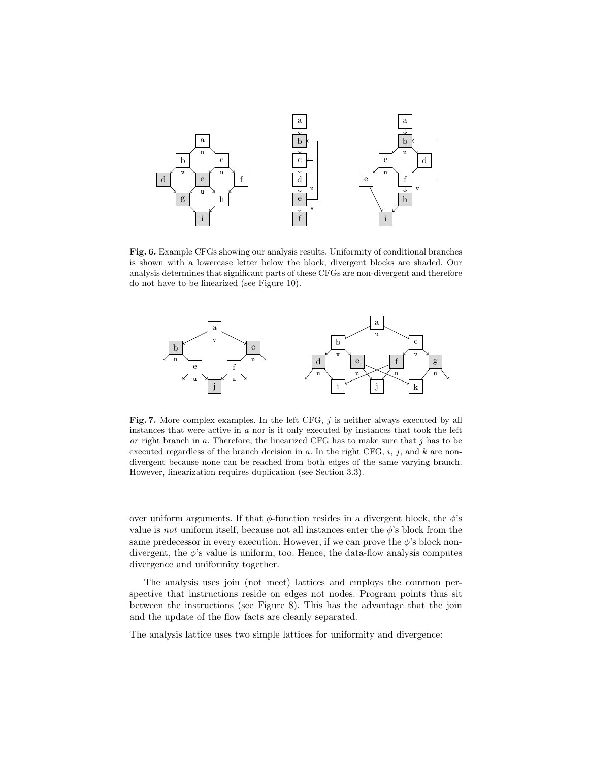

Fig. 6. Example CFGs showing our analysis results. Uniformity of conditional branches is shown with a lowercase letter below the block, divergent blocks are shaded. Our analysis determines that significant parts of these CFGs are non-divergent and therefore do not have to be linearized (see Figure 10).



Fig. 7. More complex examples. In the left CFG,  $j$  is neither always executed by all instances that were active in  $a$  nor is it only executed by instances that took the left or right branch in  $a$ . Therefore, the linearized CFG has to make sure that  $j$  has to be executed regardless of the branch decision in a. In the right CFG,  $i$ ,  $j$ , and  $k$  are nondivergent because none can be reached from both edges of the same varying branch. However, linearization requires duplication (see Section 3.3).

over uniform arguments. If that  $\phi$ -function resides in a divergent block, the  $\phi$ 's value is *not* uniform itself, because not all instances enter the  $\phi$ 's block from the same predecessor in every execution. However, if we can prove the  $\phi$ 's block nondivergent, the  $\phi$ 's value is uniform, too. Hence, the data-flow analysis computes divergence and uniformity together.

The analysis uses join (not meet) lattices and employs the common perspective that instructions reside on edges not nodes. Program points thus sit between the instructions (see Figure 8). This has the advantage that the join and the update of the flow facts are cleanly separated.

The analysis lattice uses two simple lattices for uniformity and divergence: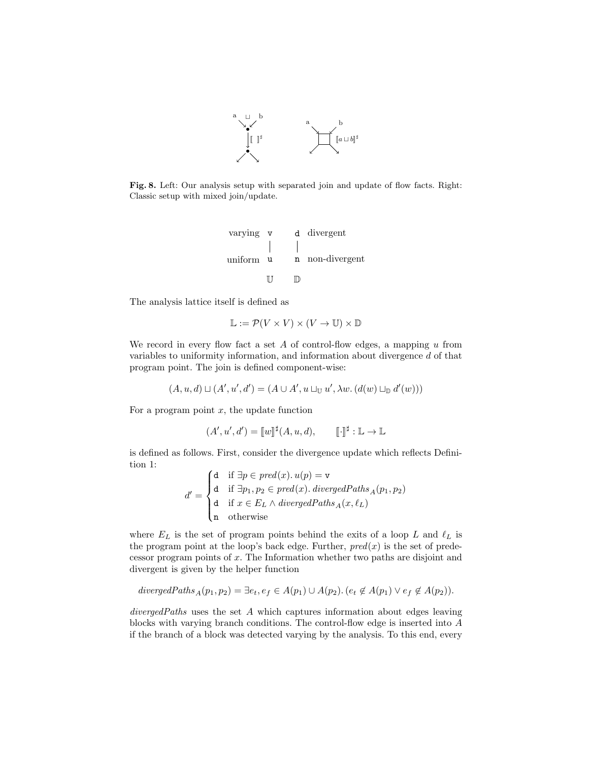

Fig. 8. Left: Our analysis setup with separated join and update of flow facts. Right: Classic setup with mixed join/update.

varying 
$$
\mathbf{v}
$$
  $\mathbf{d}$  divergent

\nuniform  $\mathbf{u}$   $\mathbf{n}$  non-divergent

\n $\mathbb{U}$   $\mathbb{D}$ 

The analysis lattice itself is defined as

$$
\mathbb{L} := \mathcal{P}(V \times V) \times (V \to \mathbb{U}) \times \mathbb{D}
$$

We record in every flow fact a set  $A$  of control-flow edges, a mapping  $u$  from variables to uniformity information, and information about divergence d of that program point. The join is defined component-wise:

$$
(A, u, d) \sqcup (A', u', d') = (A \cup A', u \sqcup_{\mathbb{U}} u', \lambda w. (d(w) \sqcup_{\mathbb{D}} d'(w)))
$$

For a program point  $x$ , the update function

$$
(A', u', d') = \llbracket w \rrbracket^{\sharp}(A, u, d), \qquad \llbracket \cdot \rrbracket^{\sharp} : \mathbb{L} \to \mathbb{L}
$$

is defined as follows. First, consider the divergence update which reflects Definition 1:

$$
d' = \begin{cases} \n\mathbf{d} & \text{if } \exists p \in \text{pred}(x) \text{. } u(p) = \mathbf{v} \\ \n\mathbf{d} & \text{if } \exists p_1, p_2 \in \text{pred}(x) \text{. } \text{divergedPaths}_A(p_1, p_2) \\ \n\mathbf{d} & \text{if } x \in E_L \land \text{divergedPaths}_A(x, \ell_L) \\ \n\mathbf{n} & \text{otherwise} \n\end{cases}
$$

where  $E_L$  is the set of program points behind the exits of a loop L and  $\ell_L$  is the program point at the loop's back edge. Further,  $pred(x)$  is the set of predecessor program points of x. The Information whether two paths are disjoint and divergent is given by the helper function

divergedPaths<sub>A</sub>
$$
(p_1, p_2) = \exists e_t, e_f \in A(p_1) \cup A(p_2)
$$
.  $(e_t \notin A(p_1) \vee e_f \notin A(p_2))$ .

divergedPaths uses the set A which captures information about edges leaving blocks with varying branch conditions. The control-flow edge is inserted into A if the branch of a block was detected varying by the analysis. To this end, every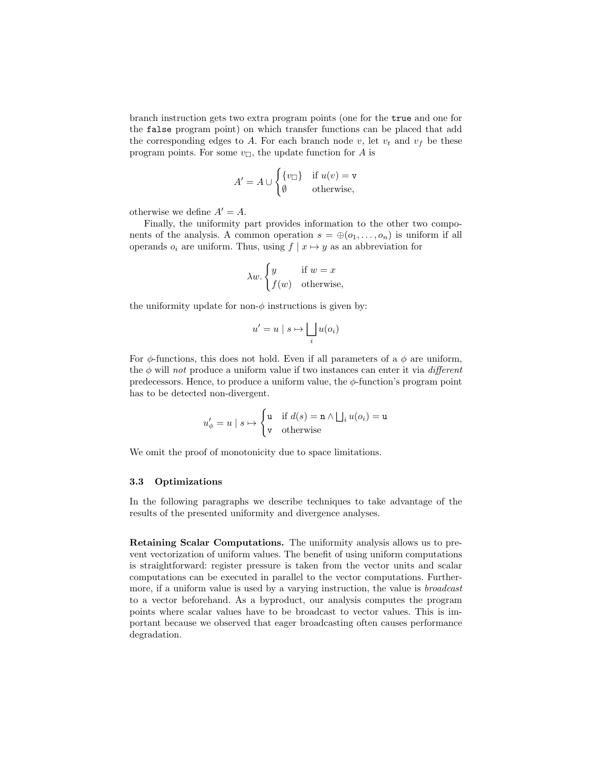branch instruction gets two extra program points (one for the true and one for the false program point) on which transfer functions can be placed that add the corresponding edges to A. For each branch node  $v$ , let  $v_t$  and  $v_f$  be these program points. For some  $v_{\Box}$ , the update function for A is

$$
A' = A \cup \begin{cases} \{v_{\Box}\} & \text{if } u(v) = \mathbf{v} \\ \emptyset & \text{otherwise,} \end{cases}
$$

otherwise we define  $A' = A$ .

Finally, the uniformity part provides information to the other two components of the analysis. A common operation  $s = \bigoplus (o_1, \ldots, o_n)$  is uniform if all operands  $o_i$  are uniform. Thus, using  $f | x \mapsto y$  as an abbreviation for

$$
\lambda w. \begin{cases} y & \text{if } w = x \\ f(w) & \text{otherwise,} \end{cases}
$$

the uniformity update for non- $\phi$  instructions is given by:

$$
u' = u \mid s \mapsto \bigsqcup_i u(o_i)
$$

For  $\phi$ -functions, this does not hold. Even if all parameters of a  $\phi$  are uniform, the  $\phi$  will not produce a uniform value if two instances can enter it via *different* predecessors. Hence, to produce a uniform value, the  $\phi$ -function's program point has to be detected non-divergent.

$$
u'_{\phi} = u \mid s \mapsto \begin{cases} \mathtt{u} & \text{if } d(s) = \mathtt{n} \land \bigsqcup_i u(o_i) = \mathtt{u} \\ \mathtt{v} & \text{otherwise} \end{cases}
$$

We omit the proof of monotonicity due to space limitations.

### 3.3 Optimizations

In the following paragraphs we describe techniques to take advantage of the results of the presented uniformity and divergence analyses.

Retaining Scalar Computations. The uniformity analysis allows us to prevent vectorization of uniform values. The benefit of using uniform computations is straightforward: register pressure is taken from the vector units and scalar computations can be executed in parallel to the vector computations. Furthermore, if a uniform value is used by a varying instruction, the value is *broadcast* to a vector beforehand. As a byproduct, our analysis computes the program points where scalar values have to be broadcast to vector values. This is important because we observed that eager broadcasting often causes performance degradation.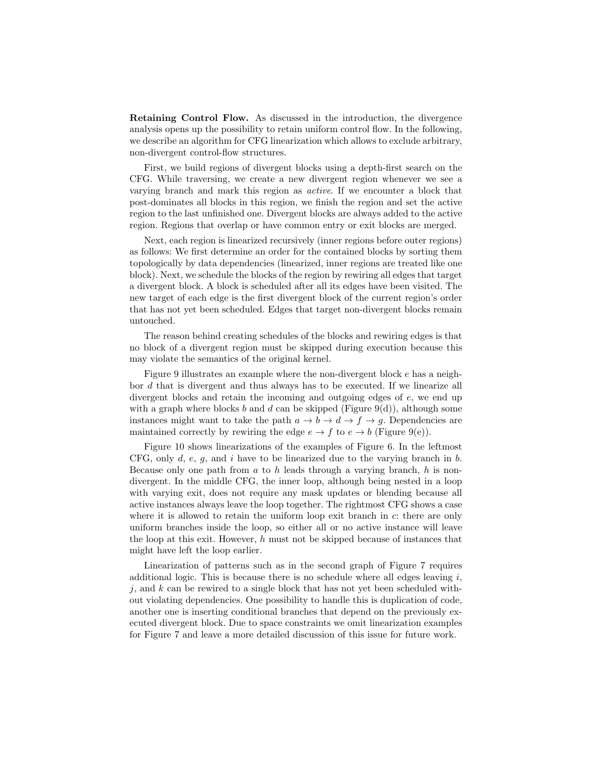Retaining Control Flow. As discussed in the introduction, the divergence analysis opens up the possibility to retain uniform control flow. In the following, we describe an algorithm for CFG linearization which allows to exclude arbitrary, non-divergent control-flow structures.

First, we build regions of divergent blocks using a depth-first search on the CFG. While traversing, we create a new divergent region whenever we see a varying branch and mark this region as active. If we encounter a block that post-dominates all blocks in this region, we finish the region and set the active region to the last unfinished one. Divergent blocks are always added to the active region. Regions that overlap or have common entry or exit blocks are merged.

Next, each region is linearized recursively (inner regions before outer regions) as follows: We first determine an order for the contained blocks by sorting them topologically by data dependencies (linearized, inner regions are treated like one block). Next, we schedule the blocks of the region by rewiring all edges that target a divergent block. A block is scheduled after all its edges have been visited. The new target of each edge is the first divergent block of the current region's order that has not yet been scheduled. Edges that target non-divergent blocks remain untouched.

The reason behind creating schedules of the blocks and rewiring edges is that no block of a divergent region must be skipped during execution because this may violate the semantics of the original kernel.

Figure 9 illustrates an example where the non-divergent block e has a neighbor d that is divergent and thus always has to be executed. If we linearize all divergent blocks and retain the incoming and outgoing edges of  $e$ , we end up with a graph where blocks b and d can be skipped (Figure 9(d)), although some instances might want to take the path  $a \to b \to d \to f \to g$ . Dependencies are maintained correctly by rewiring the edge  $e \to f$  to  $e \to b$  (Figure 9(e)).

Figure 10 shows linearizations of the examples of Figure 6. In the leftmost CFG, only d, e, g, and i have to be linearized due to the varying branch in  $b$ . Because only one path from  $a$  to  $h$  leads through a varying branch,  $h$  is nondivergent. In the middle CFG, the inner loop, although being nested in a loop with varying exit, does not require any mask updates or blending because all active instances always leave the loop together. The rightmost CFG shows a case where it is allowed to retain the uniform loop exit branch in c: there are only uniform branches inside the loop, so either all or no active instance will leave the loop at this exit. However,  $h$  must not be skipped because of instances that might have left the loop earlier.

Linearization of patterns such as in the second graph of Figure 7 requires additional logic. This is because there is no schedule where all edges leaving  $i$ ,  $j$ , and k can be rewired to a single block that has not yet been scheduled without violating dependencies. One possibility to handle this is duplication of code, another one is inserting conditional branches that depend on the previously executed divergent block. Due to space constraints we omit linearization examples for Figure 7 and leave a more detailed discussion of this issue for future work.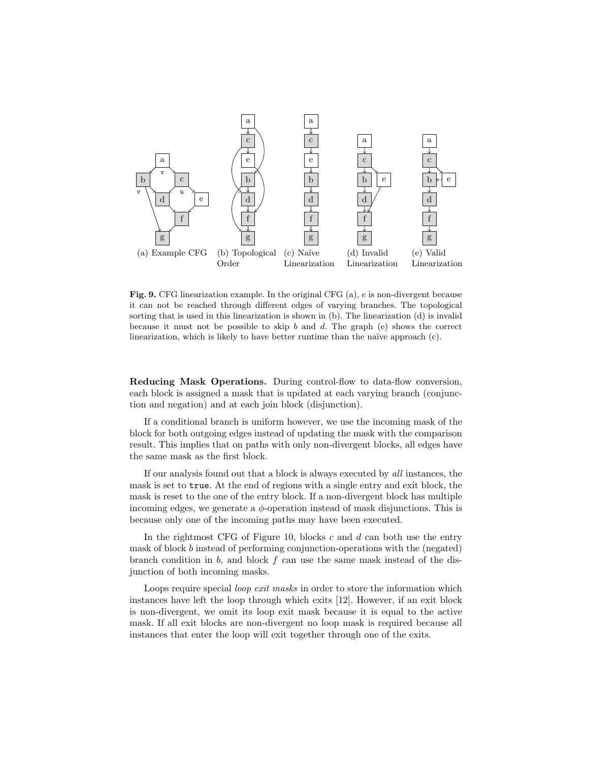

Fig. 9. CFG linearization example. In the original CFG (a), e is non-divergent because it can not be reached through different edges of varying branches. The topological sorting that is used in this linearization is shown in (b). The linearization (d) is invalid because it must not be possible to skip  $b$  and  $d$ . The graph (e) shows the correct linearization, which is likely to have better runtime than the naïve approach  $(c)$ .

Reducing Mask Operations. During control-flow to data-flow conversion, each block is assigned a mask that is updated at each varying branch (conjunction and negation) and at each join block (disjunction).

If a conditional branch is uniform however, we use the incoming mask of the block for both outgoing edges instead of updating the mask with the comparison result. This implies that on paths with only non-divergent blocks, all edges have the same mask as the first block.

If our analysis found out that a block is always executed by all instances, the mask is set to true. At the end of regions with a single entry and exit block, the mask is reset to the one of the entry block. If a non-divergent block has multiple incoming edges, we generate a  $\phi$ -operation instead of mask disjunctions. This is because only one of the incoming paths may have been executed.

In the rightmost CFG of Figure 10, blocks  $c$  and  $d$  can both use the entry mask of block b instead of performing conjunction-operations with the (negated) branch condition in  $b$ , and block  $f$  can use the same mask instead of the disjunction of both incoming masks.

Loops require special *loop exit masks* in order to store the information which instances have left the loop through which exits [12]. However, if an exit block is non-divergent, we omit its loop exit mask because it is equal to the active mask. If all exit blocks are non-divergent no loop mask is required because all instances that enter the loop will exit together through one of the exits.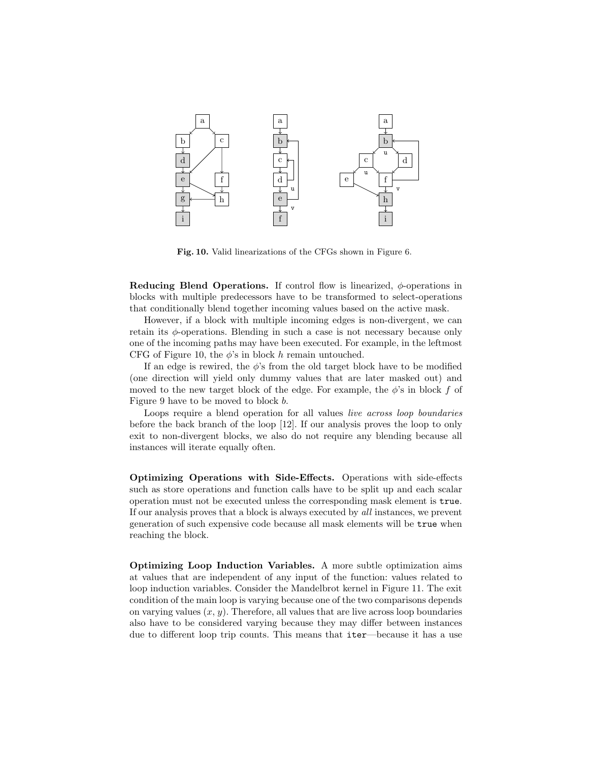

Fig. 10. Valid linearizations of the CFGs shown in Figure 6.

Reducing Blend Operations. If control flow is linearized,  $\phi$ -operations in blocks with multiple predecessors have to be transformed to select-operations that conditionally blend together incoming values based on the active mask.

However, if a block with multiple incoming edges is non-divergent, we can retain its  $\phi$ -operations. Blending in such a case is not necessary because only one of the incoming paths may have been executed. For example, in the leftmost CFG of Figure 10, the  $\phi$ 's in block h remain untouched.

If an edge is rewired, the  $\phi$ 's from the old target block have to be modified (one direction will yield only dummy values that are later masked out) and moved to the new target block of the edge. For example, the  $\phi$ 's in block f of Figure 9 have to be moved to block b.

Loops require a blend operation for all values live across loop boundaries before the back branch of the loop [12]. If our analysis proves the loop to only exit to non-divergent blocks, we also do not require any blending because all instances will iterate equally often.

Optimizing Operations with Side-Effects. Operations with side-effects such as store operations and function calls have to be split up and each scalar operation must not be executed unless the corresponding mask element is true. If our analysis proves that a block is always executed by all instances, we prevent generation of such expensive code because all mask elements will be true when reaching the block.

Optimizing Loop Induction Variables. A more subtle optimization aims at values that are independent of any input of the function: values related to loop induction variables. Consider the Mandelbrot kernel in Figure 11. The exit condition of the main loop is varying because one of the two comparisons depends on varying values  $(x, y)$ . Therefore, all values that are live across loop boundaries also have to be considered varying because they may differ between instances due to different loop trip counts. This means that iter—because it has a use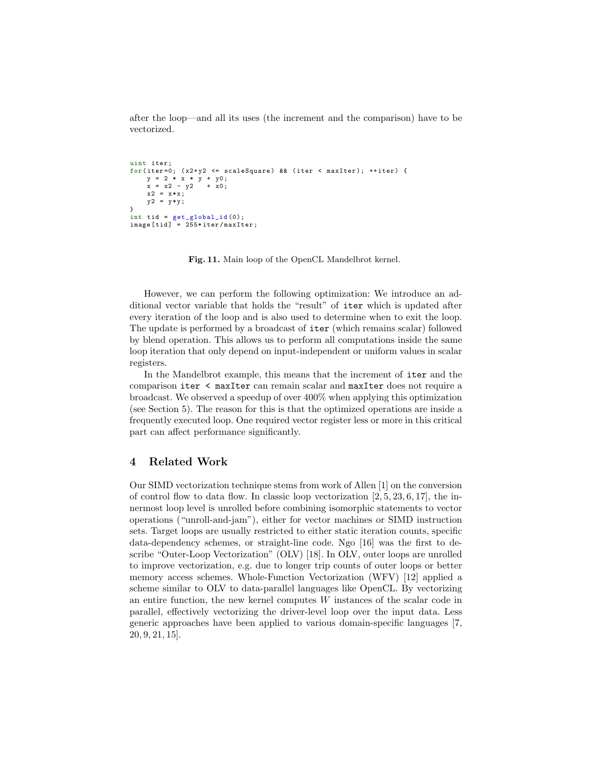after the loop—and all its uses (the increment and the comparison) have to be vectorized.

```
uint iter ;
for (iter=0; (x2+y2 \leq scaleSquare) & (iter \leq maxIter); ++iter) {
      y = 2 * x * y + y0 ;
x = x2 - y2 + x0 ;
     x2 = x*x;y2 = y*y;}
int tid = get_global_id (0);
image [ tid ] = 255* iter / maxIter ;
```
Fig. 11. Main loop of the OpenCL Mandelbrot kernel.

However, we can perform the following optimization: We introduce an additional vector variable that holds the "result" of iter which is updated after every iteration of the loop and is also used to determine when to exit the loop. The update is performed by a broadcast of iter (which remains scalar) followed by blend operation. This allows us to perform all computations inside the same loop iteration that only depend on input-independent or uniform values in scalar registers.

In the Mandelbrot example, this means that the increment of iter and the comparison iter < maxIter can remain scalar and maxIter does not require a broadcast. We observed a speedup of over 400% when applying this optimization (see Section 5). The reason for this is that the optimized operations are inside a frequently executed loop. One required vector register less or more in this critical part can affect performance significantly.

### 4 Related Work

Our SIMD vectorization technique stems from work of Allen [1] on the conversion of control flow to data flow. In classic loop vectorization  $[2, 5, 23, 6, 17]$ , the innermost loop level is unrolled before combining isomorphic statements to vector operations ("unroll-and-jam"), either for vector machines or SIMD instruction sets. Target loops are usually restricted to either static iteration counts, specific data-dependency schemes, or straight-line code. Ngo [16] was the first to describe "Outer-Loop Vectorization" (OLV) [18]. In OLV, outer loops are unrolled to improve vectorization, e.g. due to longer trip counts of outer loops or better memory access schemes. Whole-Function Vectorization (WFV) [12] applied a scheme similar to OLV to data-parallel languages like OpenCL. By vectorizing an entire function, the new kernel computes W instances of the scalar code in parallel, effectively vectorizing the driver-level loop over the input data. Less generic approaches have been applied to various domain-specific languages [7, 20, 9, 21, 15].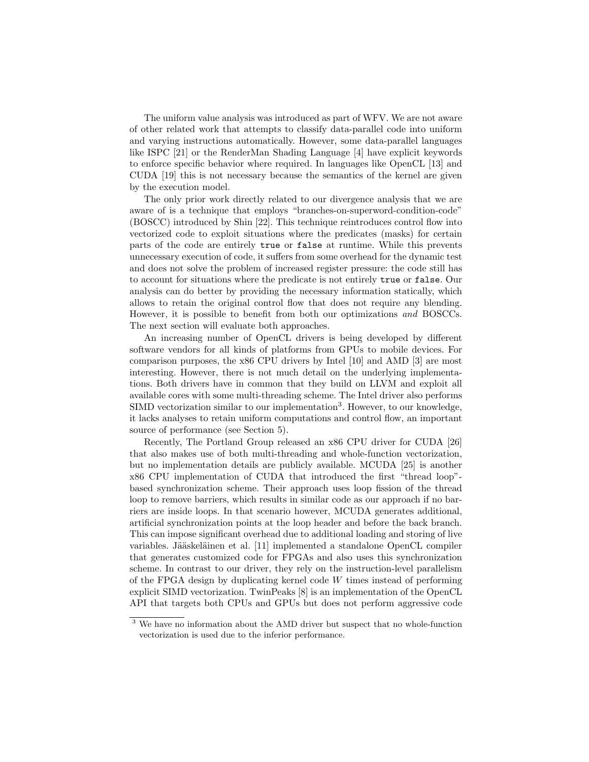The uniform value analysis was introduced as part of WFV. We are not aware of other related work that attempts to classify data-parallel code into uniform and varying instructions automatically. However, some data-parallel languages like ISPC [21] or the RenderMan Shading Language [4] have explicit keywords to enforce specific behavior where required. In languages like OpenCL [13] and CUDA [19] this is not necessary because the semantics of the kernel are given by the execution model.

The only prior work directly related to our divergence analysis that we are aware of is a technique that employs "branches-on-superword-condition-code" (BOSCC) introduced by Shin [22]. This technique reintroduces control flow into vectorized code to exploit situations where the predicates (masks) for certain parts of the code are entirely true or false at runtime. While this prevents unnecessary execution of code, it suffers from some overhead for the dynamic test and does not solve the problem of increased register pressure: the code still has to account for situations where the predicate is not entirely true or false. Our analysis can do better by providing the necessary information statically, which allows to retain the original control flow that does not require any blending. However, it is possible to benefit from both our optimizations and BOSCCs. The next section will evaluate both approaches.

An increasing number of OpenCL drivers is being developed by different software vendors for all kinds of platforms from GPUs to mobile devices. For comparison purposes, the x86 CPU drivers by Intel [10] and AMD [3] are most interesting. However, there is not much detail on the underlying implementations. Both drivers have in common that they build on LLVM and exploit all available cores with some multi-threading scheme. The Intel driver also performs SIMD vectorization similar to our implementation<sup>3</sup>. However, to our knowledge, it lacks analyses to retain uniform computations and control flow, an important source of performance (see Section 5).

Recently, The Portland Group released an x86 CPU driver for CUDA [26] that also makes use of both multi-threading and whole-function vectorization, but no implementation details are publicly available. MCUDA [25] is another x86 CPU implementation of CUDA that introduced the first "thread loop" based synchronization scheme. Their approach uses loop fission of the thread loop to remove barriers, which results in similar code as our approach if no barriers are inside loops. In that scenario however, MCUDA generates additional, artificial synchronization points at the loop header and before the back branch. This can impose significant overhead due to additional loading and storing of live variables. Jääskeläinen et al. [11] implemented a standalone OpenCL compiler that generates customized code for FPGAs and also uses this synchronization scheme. In contrast to our driver, they rely on the instruction-level parallelism of the FPGA design by duplicating kernel code  $W$  times instead of performing explicit SIMD vectorization. TwinPeaks [8] is an implementation of the OpenCL API that targets both CPUs and GPUs but does not perform aggressive code

 $^3$  We have no information about the AMD driver but suspect that no whole-function vectorization is used due to the inferior performance.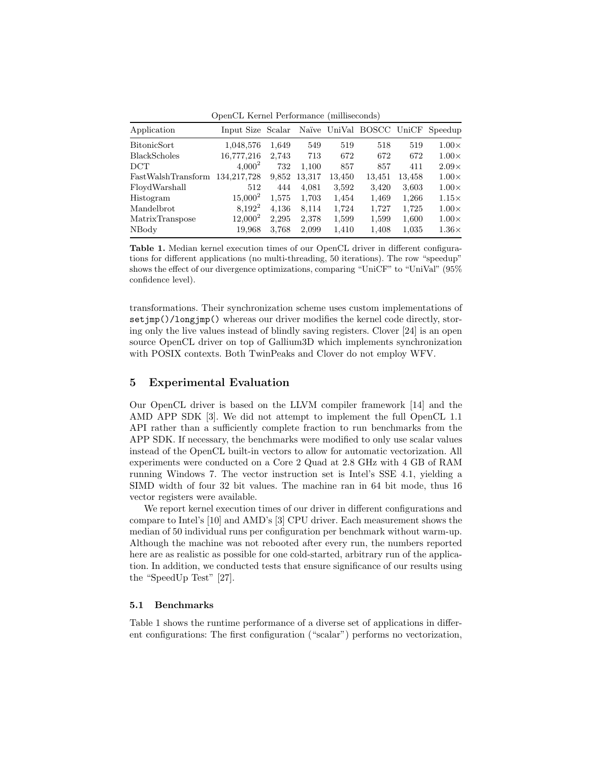OpenCL Kernel Performance (milliseconds)

| Application         | Input Size Scalar  |       |        |        | Naïve UniVal BOSCC UniCF Speedup |        |              |
|---------------------|--------------------|-------|--------|--------|----------------------------------|--------|--------------|
| <b>BitonicSort</b>  | 1,048,576          | 1,649 | 549    | 519    | 518                              | 519    | $1.00\times$ |
| <b>BlackScholes</b> | 16,777,216         | 2,743 | 713    | 672    | 672                              | 672    | $1.00\times$ |
| <b>DCT</b>          | 4.000 <sup>2</sup> | 732   | 1.100  | 857    | 857                              | 411    | $2.09\times$ |
| FastWalshTransform  | 134,217,728        | 9,852 | 13,317 | 13,450 | 13,451                           | 13,458 | $1.00\times$ |
| FloydWarshall       | 512                | 444   | 4,081  | 3,592  | 3,420                            | 3,603  | $1.00\times$ |
| Histogram           | $15,000^2$         | 1,575 | 1,703  | 1,454  | 1,469                            | 1,266  | $1.15\times$ |
| Mandelbrot          | $8,192^2$          | 4,136 | 8,114  | 1,724  | 1,727                            | 1,725  | $1.00\times$ |
| MatrixTranspose     | $12,000^2$         | 2,295 | 2,378  | 1,599  | 1,599                            | 1,600  | $1.00\times$ |
| NBody               | 19,968             | 3.768 | 2,099  | 1,410  | 1,408                            | 1,035  | $1.36\times$ |

Table 1. Median kernel execution times of our OpenCL driver in different configurations for different applications (no multi-threading, 50 iterations). The row "speedup" shows the effect of our divergence optimizations, comparing "UniCF" to "UniVal" (95% confidence level).

transformations. Their synchronization scheme uses custom implementations of  $\text{setimp}()$ /long $\text{imp}()$  whereas our driver modifies the kernel code directly, storing only the live values instead of blindly saving registers. Clover [24] is an open source OpenCL driver on top of Gallium3D which implements synchronization with POSIX contexts. Both TwinPeaks and Clover do not employ WFV.

### 5 Experimental Evaluation

Our OpenCL driver is based on the LLVM compiler framework [14] and the AMD APP SDK [3]. We did not attempt to implement the full OpenCL 1.1 API rather than a sufficiently complete fraction to run benchmarks from the APP SDK. If necessary, the benchmarks were modified to only use scalar values instead of the OpenCL built-in vectors to allow for automatic vectorization. All experiments were conducted on a Core 2 Quad at 2.8 GHz with 4 GB of RAM running Windows 7. The vector instruction set is Intel's SSE 4.1, yielding a SIMD width of four 32 bit values. The machine ran in 64 bit mode, thus 16 vector registers were available.

We report kernel execution times of our driver in different configurations and compare to Intel's [10] and AMD's [3] CPU driver. Each measurement shows the median of 50 individual runs per configuration per benchmark without warm-up. Although the machine was not rebooted after every run, the numbers reported here are as realistic as possible for one cold-started, arbitrary run of the application. In addition, we conducted tests that ensure significance of our results using the "SpeedUp Test" [27].

#### 5.1 Benchmarks

Table 1 shows the runtime performance of a diverse set of applications in different configurations: The first configuration ("scalar") performs no vectorization,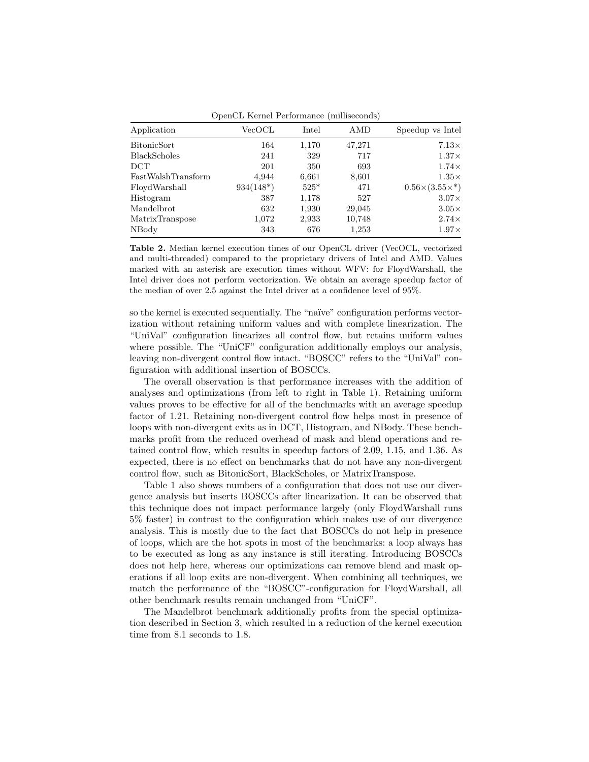| $\rm VecOCL$ | Intel  | AMD    | Speedup vs Intel             |
|--------------|--------|--------|------------------------------|
| 164          | 1,170  | 47,271 | $7.13\times$                 |
| 241          | 329    | 717    | $1.37\times$                 |
| 201          | 350    | 693    | $1.74\times$                 |
| 4,944        | 6,661  | 8,601  | $1.35\times$                 |
| $934(148^*)$ | $525*$ | 471    | $0.56\times(3.55\times^{*})$ |
| 387          | 1,178  | 527    | $3.07\times$                 |
| 632          | 1,930  | 29,045 | $3.05\times$                 |
| 1,072        | 2,933  | 10,748 | $2.74\times$                 |
| 343          | 676    | 1,253  | $1.97\times$                 |
|              |        |        |                              |

OpenCL Kernel Performance (milliseconds)

Table 2. Median kernel execution times of our OpenCL driver (VecOCL, vectorized and multi-threaded) compared to the proprietary drivers of Intel and AMD. Values marked with an asterisk are execution times without WFV: for FloydWarshall, the Intel driver does not perform vectorization. We obtain an average speedup factor of the median of over 2.5 against the Intel driver at a confidence level of 95%.

so the kernel is executed sequentially. The "naïve" configuration performs vectorization without retaining uniform values and with complete linearization. The "UniVal" configuration linearizes all control flow, but retains uniform values where possible. The "UniCF" configuration additionally employs our analysis, leaving non-divergent control flow intact. "BOSCC" refers to the "UniVal" configuration with additional insertion of BOSCCs.

The overall observation is that performance increases with the addition of analyses and optimizations (from left to right in Table 1). Retaining uniform values proves to be effective for all of the benchmarks with an average speedup factor of 1.21. Retaining non-divergent control flow helps most in presence of loops with non-divergent exits as in DCT, Histogram, and NBody. These benchmarks profit from the reduced overhead of mask and blend operations and retained control flow, which results in speedup factors of 2.09, 1.15, and 1.36. As expected, there is no effect on benchmarks that do not have any non-divergent control flow, such as BitonicSort, BlackScholes, or MatrixTranspose.

Table 1 also shows numbers of a configuration that does not use our divergence analysis but inserts BOSCCs after linearization. It can be observed that this technique does not impact performance largely (only FloydWarshall runs 5% faster) in contrast to the configuration which makes use of our divergence analysis. This is mostly due to the fact that BOSCCs do not help in presence of loops, which are the hot spots in most of the benchmarks: a loop always has to be executed as long as any instance is still iterating. Introducing BOSCCs does not help here, whereas our optimizations can remove blend and mask operations if all loop exits are non-divergent. When combining all techniques, we match the performance of the "BOSCC"-configuration for FloydWarshall, all other benchmark results remain unchanged from "UniCF".

The Mandelbrot benchmark additionally profits from the special optimization described in Section 3, which resulted in a reduction of the kernel execution time from 8.1 seconds to 1.8.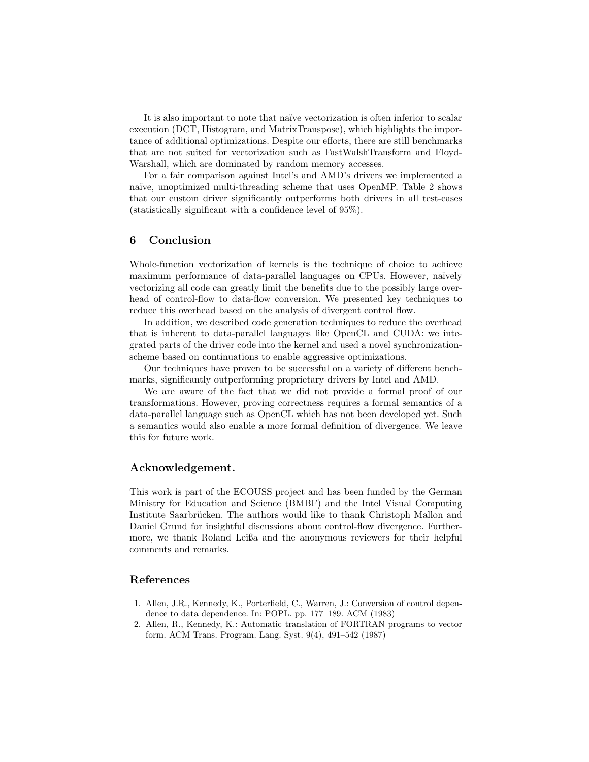It is also important to note that naïve vectorization is often inferior to scalar execution (DCT, Histogram, and MatrixTranspose), which highlights the importance of additional optimizations. Despite our efforts, there are still benchmarks that are not suited for vectorization such as FastWalshTransform and Floyd-Warshall, which are dominated by random memory accesses.

For a fair comparison against Intel's and AMD's drivers we implemented a naïve, unoptimized multi-threading scheme that uses OpenMP. Table 2 shows that our custom driver significantly outperforms both drivers in all test-cases (statistically significant with a confidence level of 95%).

# 6 Conclusion

Whole-function vectorization of kernels is the technique of choice to achieve maximum performance of data-parallel languages on CPUs. However, naïvely vectorizing all code can greatly limit the benefits due to the possibly large overhead of control-flow to data-flow conversion. We presented key techniques to reduce this overhead based on the analysis of divergent control flow.

In addition, we described code generation techniques to reduce the overhead that is inherent to data-parallel languages like OpenCL and CUDA: we integrated parts of the driver code into the kernel and used a novel synchronizationscheme based on continuations to enable aggressive optimizations.

Our techniques have proven to be successful on a variety of different benchmarks, significantly outperforming proprietary drivers by Intel and AMD.

We are aware of the fact that we did not provide a formal proof of our transformations. However, proving correctness requires a formal semantics of a data-parallel language such as OpenCL which has not been developed yet. Such a semantics would also enable a more formal definition of divergence. We leave this for future work.

# Acknowledgement.

This work is part of the ECOUSS project and has been funded by the German Ministry for Education and Science (BMBF) and the Intel Visual Computing Institute Saarbrücken. The authors would like to thank Christoph Mallon and Daniel Grund for insightful discussions about control-flow divergence. Furthermore, we thank Roland Leißa and the anonymous reviewers for their helpful comments and remarks.

### References

- 1. Allen, J.R., Kennedy, K., Porterfield, C., Warren, J.: Conversion of control dependence to data dependence. In: POPL. pp. 177–189. ACM (1983)
- 2. Allen, R., Kennedy, K.: Automatic translation of FORTRAN programs to vector form. ACM Trans. Program. Lang. Syst. 9(4), 491–542 (1987)